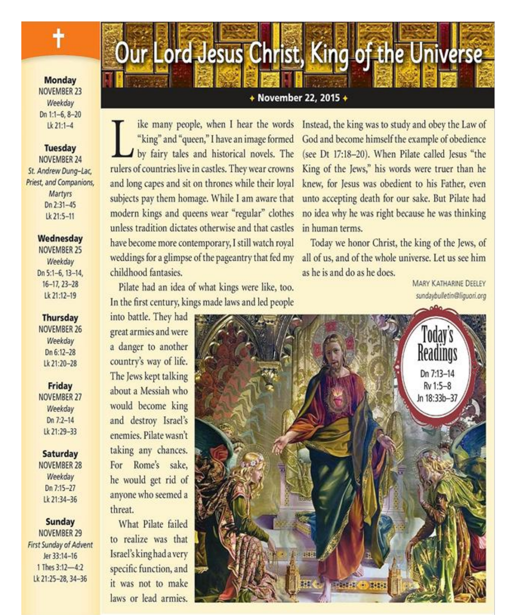**Monday NOVEMBER 23** Weekday Dn 1:1-6, 8-20  $1k$  21:1-4

### **Tuesday** NOVEMBER 24

St. Andrew Dung-Lac. Priest, and Companions, Martyrs Dn 2:31-45 Lk 21:5-11

### Wednesday

NOVEMBER 25 Weekday Dn 5:1-6, 13-14,  $16 - 17, 23 - 28$ Lk 21:12-19

### **Thursday**

NOVEMBER 26 Weekday Dn 6:12-28 Lk 21:20-28

#### Friday

NOVEMBER 27 Weekday Dn  $7:2 - 14$ Lk 21:29-33

#### Saturday

NOVEMBER 28 Weekday Dn 7:15-27 Lk 21:34-36

### **Sunday**

NOVEMBER 29 First Sunday of Advent Jer 33:14-16 1 Thes 3:12-4:2 Lk 21:25-28, 34-36

### + November 22, 2015 +

Our Lord Jesus Christ, King of the Universe

ike many people, when I hear the words "king" and "queen," I have an image formed by fairy tales and historical novels. The rulers of countries live in castles. They wear crowns and long capes and sit on thrones while their loyal subjects pay them homage. While I am aware that modern kings and queens wear "regular" clothes unless tradition dictates otherwise and that castles have become more contemporary, I still watch royal weddings for a glimpse of the pageantry that fed my childhood fantasies.

Pilate had an idea of what kings were like, too. In the first century, kings made laws and led people

Instead, the king was to study and obey the Law of God and become himself the example of obedience (see Dt 17:18-20). When Pilate called Jesus "the King of the Jews," his words were truer than he knew, for Jesus was obedient to his Father, even unto accepting death for our sake. But Pilate had no idea why he was right because he was thinking in human terms.

Today we honor Christ, the king of the Jews, of all of us, and of the whole universe. Let us see him as he is and do as he does.

> **MARY KATHARINE DEELEY** sundaybulletin@liquori.org

into battle. They had great armies and were a danger to another country's way of life. The Jews kept talking about a Messiah who would become king and destroy Israel's enemies. Pilate wasn't taking any chances. For Rome's sake, he would get rid of anyone who seemed a threat.

What Pilate failed to realize was that Israel's king had a very specific function, and it was not to make laws or lead armies.

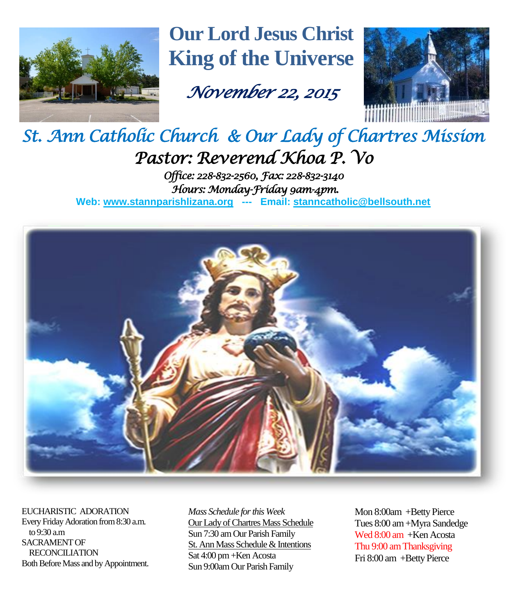

**Our Lord Jesus Christ King of the Universe**

# *November 22, 2015*



## *St. Ann Catholic Church & Our Lady of Chartres Mission Pastor: Reverend Khoa P. Vo Office: 228-832-2560, Fax: 228-832-3140 Hours: Monday-Friday 9am-4pm.*

**Web: www.stannparishlizana.org --- Email: [stanncatholic@bellsouth.net](mailto:stanncatholic@bellsouth.net)**



EUCHARISTIC ADORATION Every Friday Adoration from 8:30 a.m. to 9:30 a.m SACRAMENT OF RECONCILIATION Both Before Mass and by Appointment. *Mass Schedule for this Week*  Our Lady of Chartres Mass Schedule Sun 7:30 am Our Parish Family St. Ann Mass Schedule & Intentions Sat 4:00 pm +Ken Acosta Sun 9:00am Our Parish Family

Mon 8:00am +Betty Pierce Tues 8:00 am +Myra Sandedge Wed 8:00 am +Ken Acosta Thu 9:00 amThanksgiving Fri 8:00 am +Betty Pierce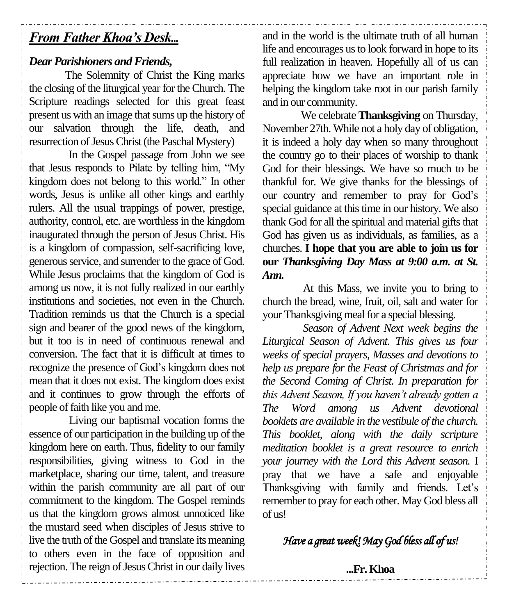## *From Father Khoa's Desk...*

## *Dear Parishioners and Friends,*

The Solemnity of Christ the King marks the closing of the liturgical year for the Church. The Scripture readings selected for this great feast present us with an image that sums up the history of our salvation through the life, death, and resurrection of Jesus Christ (the Paschal Mystery)

In the Gospel passage from John we see that Jesus responds to Pilate by telling him, "My kingdom does not belong to this world." In other words, Jesus is unlike all other kings and earthly rulers. All the usual trappings of power, prestige, authority, control, etc. are worthless in the kingdom inaugurated through the person of Jesus Christ. His is a kingdom of compassion, self-sacrificing love, generous service, and surrender to the grace of God. While Jesus proclaims that the kingdom of God is among us now, it is not fully realized in our earthly institutions and societies, not even in the Church. Tradition reminds us that the Church is a special sign and bearer of the good news of the kingdom, but it too is in need of continuous renewal and conversion. The fact that it is difficult at times to recognize the presence of God's kingdom does not mean that it does not exist. The kingdom does exist and it continues to grow through the efforts of people of faith like you and me.

Living our baptismal vocation forms the essence of our participation in the building up of the kingdom here on earth. Thus, fidelity to our family responsibilities, giving witness to God in the marketplace, sharing our time, talent, and treasure within the parish community are all part of our commitment to the kingdom. The Gospel reminds us that the kingdom grows almost unnoticed like the mustard seed when disciples of Jesus strive to live the truth of the Gospel and translate its meaning to others even in the face of opposition and rejection. The reign of Jesus Christ in our daily lives

and in the world is the ultimate truth of all human life and encourages us to look forward in hope to its full realization in heaven. Hopefully all of us can appreciate how we have an important role in helping the kingdom take root in our parish family and in our community.

We celebrate **Thanksgiving** on Thursday, November 27th. While not a holy day of obligation, it is indeed a holy day when so many throughout the country go to their places of worship to thank God for their blessings. We have so much to be thankful for. We give thanks for the blessings of our country and remember to pray for God's special guidance at this time in our history. We also thank God for all the spiritual and material gifts that God has given us as individuals, as families, as a churches. **I hope that you are able to join us for our** *Thanksgiving Day Mass at 9:00 a.m. at St. Ann.*

At this Mass, we invite you to bring to church the bread, wine, fruit, oil, salt and water for your Thanksgiving meal for a special blessing.

*Season of Advent Next week begins the Liturgical Season of Advent. This gives us four weeks of special prayers, Masses and devotions to help us prepare for the Feast of Christmas and for the Second Coming of Christ. In preparation for this Advent Season, If you haven't already gotten a The Word among us Advent devotional booklets are available in the vestibule of the church. This booklet, along with the daily scripture meditation booklet is a great resource to enrich your journey with the Lord this Advent season.* I pray that we have a safe and enjoyable Thanksgiving with family and friends. Let's remember to pray for each other. May God bless all of us!

## *Have a great week! May God bless all of us!*

### **...Fr. Khoa**